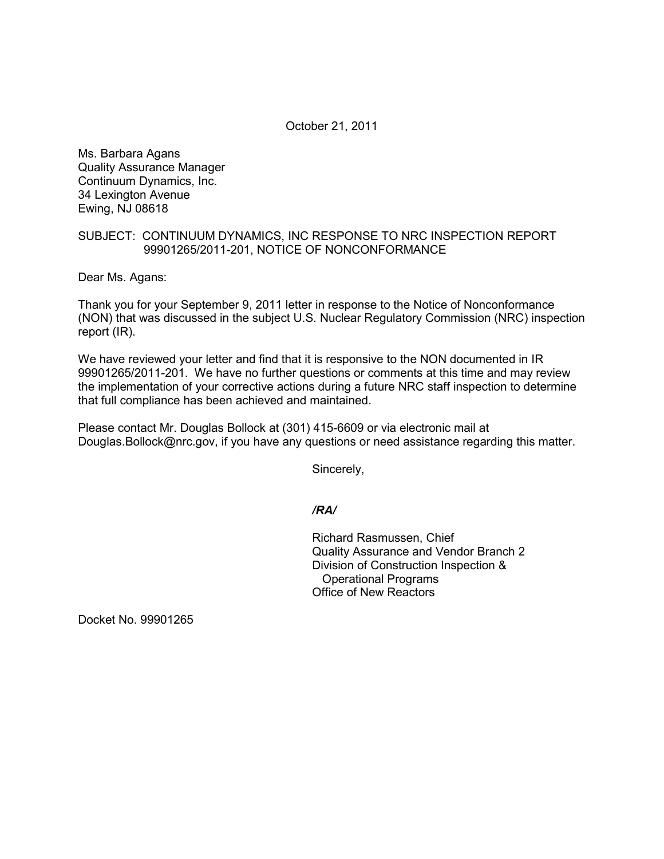October 21, 2011

Ms. Barbara Agans Quality Assurance Manager Continuum Dynamics, Inc. 34 Lexington Avenue Ewing, NJ 08618

## SUBJECT: CONTINUUM DYNAMICS, INC RESPONSE TO NRC INSPECTION REPORT 99901265/2011-201, NOTICE OF NONCONFORMANCE

Dear Ms. Agans:

Thank you for your September 9, 2011 letter in response to the Notice of Nonconformance (NON) that was discussed in the subject U.S. Nuclear Regulatory Commission (NRC) inspection report (IR).

We have reviewed your letter and find that it is responsive to the NON documented in IR 99901265/2011-201. We have no further questions or comments at this time and may review the implementation of your corrective actions during a future NRC staff inspection to determine that full compliance has been achieved and maintained.

Please contact Mr. Douglas Bollock at (301) 415-6609 or via electronic mail at Douglas.Bollock@nrc.gov, if you have any questions or need assistance regarding this matter.

Sincerely,

## */RA/*

Richard Rasmussen, Chief Quality Assurance and Vendor Branch 2 Division of Construction Inspection & Operational Programs Office of New Reactors

Docket No. 99901265